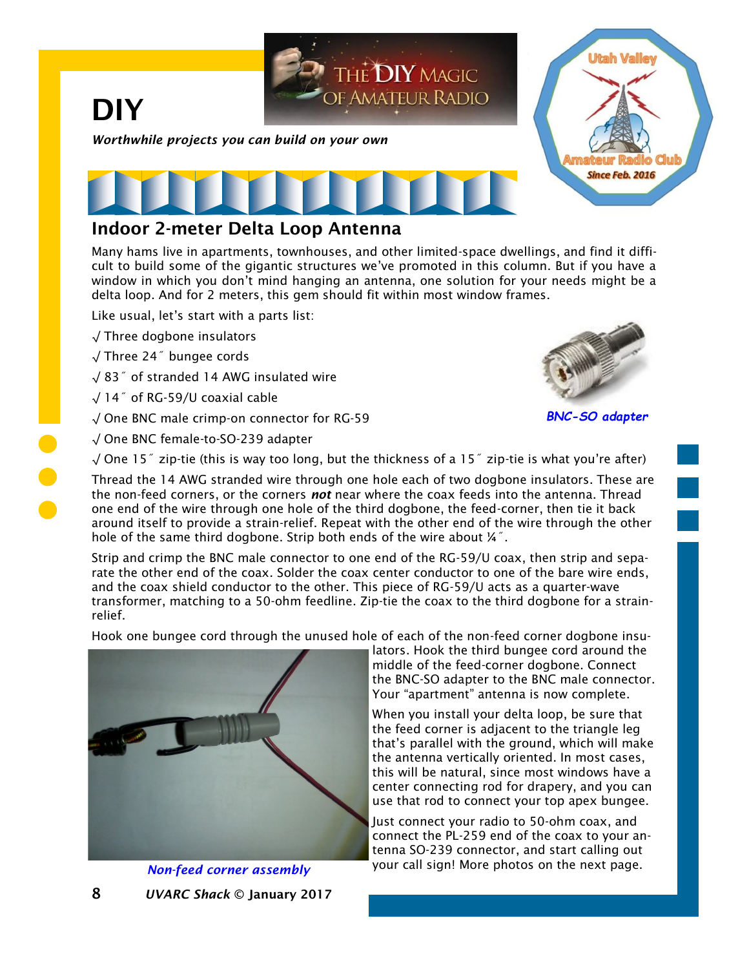

## Indoor 2-meter Delta Loop Antenna

Many hams live in apartments, townhouses, and other limited-space dwellings, and find it difficult to build some of the gigantic structures we've promoted in this column. But if you have a window in which you don't mind hanging an antenna, one solution for your needs might be a delta loop. And for 2 meters, this gem should fit within most window frames.

Like usual, let's start with a parts list:

- √ Three dogbone insulators
- √ Three 24˝ bungee cords
- √ 83˝ of stranded 14 AWG insulated wire
- √ 14˝ of RG-59/U coaxial cable
- √ One BNC male crimp-on connector for RG-59
- √ One BNC female-to-SO-239 adapter



*BNC-SO adapter*

√ One 15˝ zip-tie (this is way too long, but the thickness of a 15˝ zip-tie is what you're after)

Thread the 14 AWG stranded wire through one hole each of two dogbone insulators. These are the non-feed corners, or the corners *not* near where the coax feeds into the antenna. Thread one end of the wire through one hole of the third dogbone, the feed-corner, then tie it back around itself to provide a strain-relief. Repeat with the other end of the wire through the other hole of the same third dogbone. Strip both ends of the wire about ¼˝.

Strip and crimp the BNC male connector to one end of the RG-59/U coax, then strip and separate the other end of the coax. Solder the coax center conductor to one of the bare wire ends, and the coax shield conductor to the other. This piece of RG-59/U acts as a quarter-wave transformer, matching to a 50-ohm feedline. Zip-tie the coax to the third dogbone for a strainrelief.

Hook one bungee cord through the unused hole of each of the non-feed corner dogbone insu-



8 *UVARC Shack* © January 2017 *Non-feed corner assembly*

lators. Hook the third bungee cord around the middle of the feed-corner dogbone. Connect the BNC-SO adapter to the BNC male connector. Your "apartment" antenna is now complete.

When you install your delta loop, be sure that the feed corner is adjacent to the triangle leg that's parallel with the ground, which will make the antenna vertically oriented. In most cases, this will be natural, since most windows have a center connecting rod for drapery, and you can use that rod to connect your top apex bungee.

Just connect your radio to 50-ohm coax, and connect the PL-259 end of the coax to your antenna SO-239 connector, and start calling out your call sign! More photos on the next page.